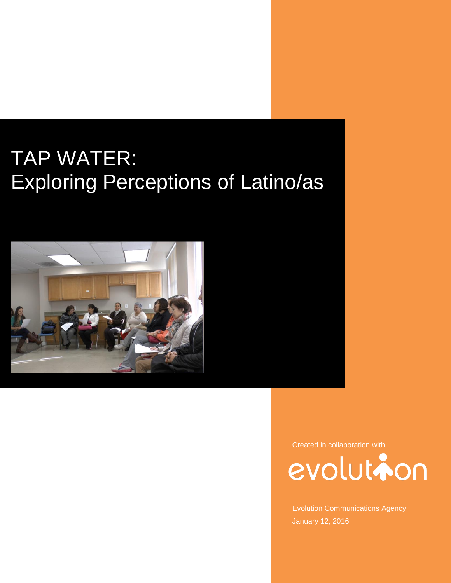# TAP WATER: Exploring Perceptions of Latino/as



Created in collaboration with



Evolution Communications Agency January 12, 2016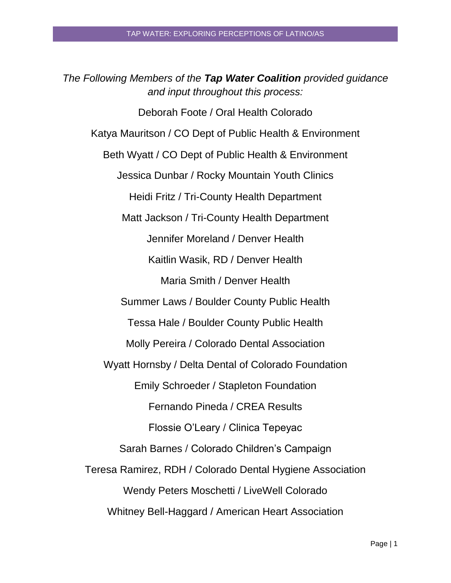*The Following Members of the Tap Water Coalition provided guidance and input throughout this process:* Deborah Foote / Oral Health Colorado Katya Mauritson / CO Dept of Public Health & Environment Beth Wyatt / CO Dept of Public Health & Environment Jessica Dunbar / Rocky Mountain Youth Clinics Heidi Fritz / Tri-County Health Department Matt Jackson / Tri-County Health Department Jennifer Moreland / Denver Health Kaitlin Wasik, RD / Denver Health Maria Smith / Denver Health Summer Laws / Boulder County Public Health Tessa Hale / Boulder County Public Health Molly Pereira / Colorado Dental Association Wyatt Hornsby / Delta Dental of Colorado Foundation Emily Schroeder / Stapleton Foundation Fernando Pineda / CREA Results Flossie O'Leary / Clinica Tepeyac Sarah Barnes / Colorado Children's Campaign Teresa Ramirez, RDH / Colorado Dental Hygiene Association Wendy Peters Moschetti / LiveWell Colorado Whitney Bell-Haggard / American Heart Association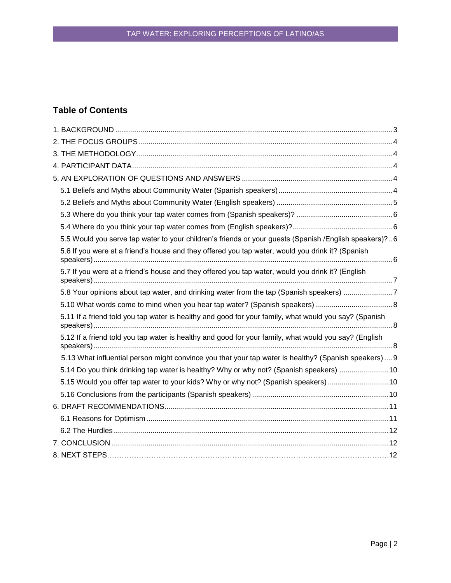# **Table of Contents**

| 5.5 Would you serve tap water to your children's friends or your guests (Spanish /English speakers)?6 |  |
|-------------------------------------------------------------------------------------------------------|--|
| 5.6 If you were at a friend's house and they offered you tap water, would you drink it? (Spanish      |  |
| 5.7 If you were at a friend's house and they offered you tap water, would you drink it? (English      |  |
| 5.8 Your opinions about tap water, and drinking water from the tap (Spanish speakers) 7               |  |
|                                                                                                       |  |
| 5.11 If a friend told you tap water is healthy and good for your family, what would you say? (Spanish |  |
| 5.12 If a friend told you tap water is healthy and good for your family, what would you say? (English |  |
| 5.13 What influential person might convince you that your tap water is healthy? (Spanish speakers) 9  |  |
| 5.14 Do you think drinking tap water is healthy? Why or why not? (Spanish speakers)  10               |  |
| 5.15 Would you offer tap water to your kids? Why or why not? (Spanish speakers) 10                    |  |
|                                                                                                       |  |
|                                                                                                       |  |
|                                                                                                       |  |
|                                                                                                       |  |
|                                                                                                       |  |
|                                                                                                       |  |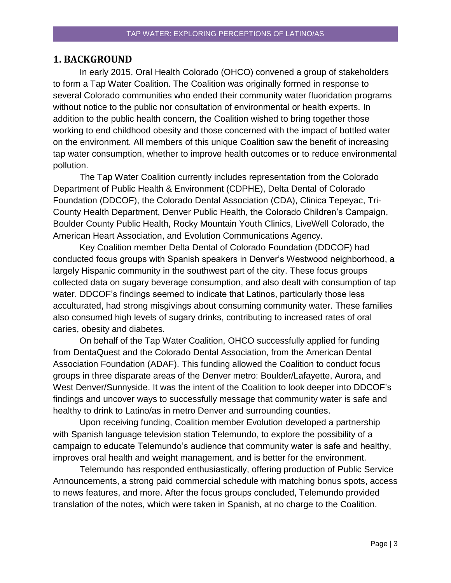#### <span id="page-3-0"></span>**1. BACKGROUND**

In early 2015, Oral Health Colorado (OHCO) convened a group of stakeholders to form a Tap Water Coalition. The Coalition was originally formed in response to several Colorado communities who ended their community water fluoridation programs without notice to the public nor consultation of environmental or health experts. In addition to the public health concern, the Coalition wished to bring together those working to end childhood obesity and those concerned with the impact of bottled water on the environment. All members of this unique Coalition saw the benefit of increasing tap water consumption, whether to improve health outcomes or to reduce environmental pollution.

The Tap Water Coalition currently includes representation from the Colorado Department of Public Health & Environment (CDPHE), Delta Dental of Colorado Foundation (DDCOF), the Colorado Dental Association (CDA), Clinica Tepeyac, Tri-County Health Department, Denver Public Health, the Colorado Children's Campaign, Boulder County Public Health, Rocky Mountain Youth Clinics, LiveWell Colorado, the American Heart Association, and Evolution Communications Agency.

Key Coalition member Delta Dental of Colorado Foundation (DDCOF) had conducted focus groups with Spanish speakers in Denver's Westwood neighborhood, a largely Hispanic community in the southwest part of the city. These focus groups collected data on sugary beverage consumption, and also dealt with consumption of tap water. DDCOF's findings seemed to indicate that Latinos, particularly those less acculturated, had strong misgivings about consuming community water. These families also consumed high levels of sugary drinks, contributing to increased rates of oral caries, obesity and diabetes.

On behalf of the Tap Water Coalition, OHCO successfully applied for funding from DentaQuest and the Colorado Dental Association, from the American Dental Association Foundation (ADAF). This funding allowed the Coalition to conduct focus groups in three disparate areas of the Denver metro: Boulder/Lafayette, Aurora, and West Denver/Sunnyside. It was the intent of the Coalition to look deeper into DDCOF's findings and uncover ways to successfully message that community water is safe and healthy to drink to Latino/as in metro Denver and surrounding counties.

Upon receiving funding, Coalition member Evolution developed a partnership with Spanish language television station Telemundo, to explore the possibility of a campaign to educate Telemundo's audience that community water is safe and healthy, improves oral health and weight management, and is better for the environment.

Telemundo has responded enthusiastically, offering production of Public Service Announcements, a strong paid commercial schedule with matching bonus spots, access to news features, and more. After the focus groups concluded, Telemundo provided translation of the notes, which were taken in Spanish, at no charge to the Coalition.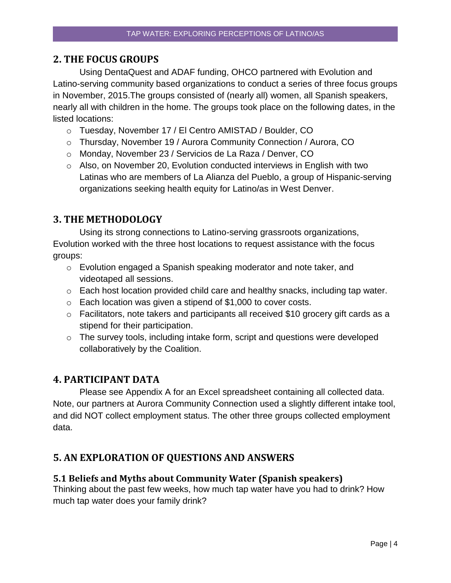## <span id="page-4-0"></span>**2. THE FOCUS GROUPS**

Using DentaQuest and ADAF funding, OHCO partnered with Evolution and Latino-serving community based organizations to conduct a series of three focus groups in November, 2015.The groups consisted of (nearly all) women, all Spanish speakers, nearly all with children in the home. The groups took place on the following dates, in the listed locations:

- o Tuesday, November 17 / El Centro AMISTAD / Boulder, CO
- o Thursday, November 19 / Aurora Community Connection / Aurora, CO
- o Monday, November 23 / Servicios de La Raza / Denver, CO
- o Also, on November 20, Evolution conducted interviews in English with two Latinas who are members of La Alianza del Pueblo, a group of Hispanic-serving organizations seeking health equity for Latino/as in West Denver.

# <span id="page-4-1"></span>**3. THE METHODOLOGY**

Using its strong connections to Latino-serving grassroots organizations, Evolution worked with the three host locations to request assistance with the focus groups:

- o Evolution engaged a Spanish speaking moderator and note taker, and videotaped all sessions.
- o Each host location provided child care and healthy snacks, including tap water.
- $\circ$  Each location was given a stipend of \$1,000 to cover costs.
- o Facilitators, note takers and participants all received \$10 grocery gift cards as a stipend for their participation.
- o The survey tools, including intake form, script and questions were developed collaboratively by the Coalition.

# <span id="page-4-2"></span>**4. PARTICIPANT DATA**

Please see Appendix A for an Excel spreadsheet containing all collected data. Note, our partners at Aurora Community Connection used a slightly different intake tool, and did NOT collect employment status. The other three groups collected employment data.

# <span id="page-4-3"></span>**5. AN EXPLORATION OF QUESTIONS AND ANSWERS**

## <span id="page-4-4"></span>**5.1 Beliefs and Myths about Community Water (Spanish speakers)**

Thinking about the past few weeks, how much tap water have you had to drink? How much tap water does your family drink?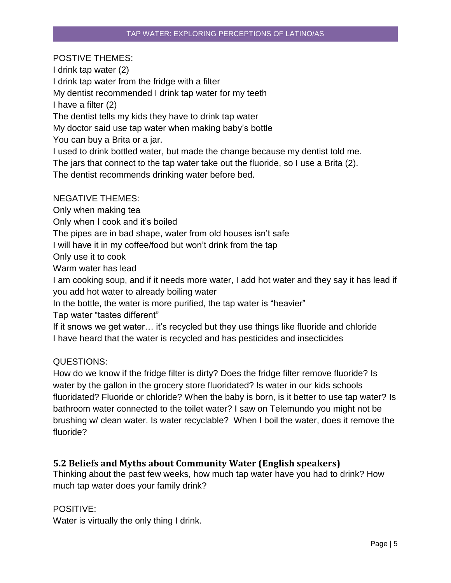## POSTIVE THEMES:

I drink tap water (2) I drink tap water from the fridge with a filter My dentist recommended I drink tap water for my teeth I have a filter (2) The dentist tells my kids they have to drink tap water My doctor said use tap water when making baby's bottle You can buy a Brita or a jar. I used to drink bottled water, but made the change because my dentist told me. The jars that connect to the tap water take out the fluoride, so I use a Brita (2). The dentist recommends drinking water before bed.

## NEGATIVE THEMES:

Only when making tea

Only when I cook and it's boiled

The pipes are in bad shape, water from old houses isn't safe

I will have it in my coffee/food but won't drink from the tap

Only use it to cook

Warm water has lead

I am cooking soup, and if it needs more water, I add hot water and they say it has lead if you add hot water to already boiling water

In the bottle, the water is more purified, the tap water is "heavier"

Tap water "tastes different"

If it snows we get water… it's recycled but they use things like fluoride and chloride I have heard that the water is recycled and has pesticides and insecticides

#### QUESTIONS:

How do we know if the fridge filter is dirty? Does the fridge filter remove fluoride? Is water by the gallon in the grocery store fluoridated? Is water in our kids schools fluoridated? Fluoride or chloride? When the baby is born, is it better to use tap water? Is bathroom water connected to the toilet water? I saw on Telemundo you might not be brushing w/ clean water. Is water recyclable? When I boil the water, does it remove the fluoride?

## <span id="page-5-0"></span>**5.2 Beliefs and Myths about Community Water (English speakers)**

Thinking about the past few weeks, how much tap water have you had to drink? How much tap water does your family drink?

#### POSITIVE:

Water is virtually the only thing I drink.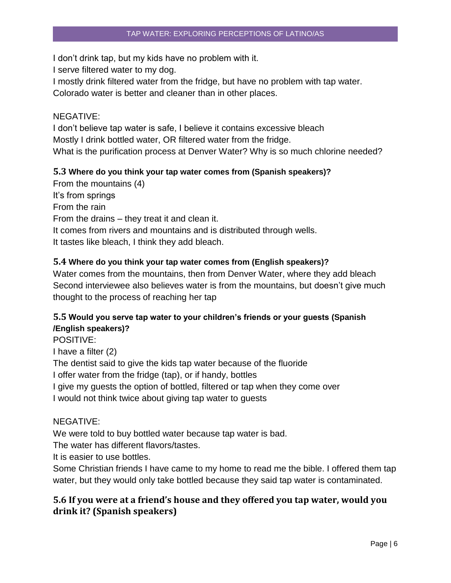I don't drink tap, but my kids have no problem with it.

I serve filtered water to my dog.

I mostly drink filtered water from the fridge, but have no problem with tap water. Colorado water is better and cleaner than in other places.

## NEGATIVE:

I don't believe tap water is safe, I believe it contains excessive bleach Mostly I drink bottled water, OR filtered water from the fridge. What is the purification process at Denver Water? Why is so much chlorine needed?

## <span id="page-6-0"></span>**5.3 Where do you think your tap water comes from (Spanish speakers)?**

From the mountains (4) It's from springs From the rain From the drains – they treat it and clean it. It comes from rivers and mountains and is distributed through wells. It tastes like bleach, I think they add bleach.

## <span id="page-6-1"></span>**5.4 Where do you think your tap water comes from (English speakers)?**

Water comes from the mountains, then from Denver Water, where they add bleach Second interviewee also believes water is from the mountains, but doesn't give much thought to the process of reaching her tap

## <span id="page-6-2"></span>**5.5 Would you serve tap water to your children's friends or your guests (Spanish /English speakers)?**

POSITIVE:

I have a filter (2)

The dentist said to give the kids tap water because of the fluoride

I offer water from the fridge (tap), or if handy, bottles

I give my guests the option of bottled, filtered or tap when they come over

I would not think twice about giving tap water to guests

## NEGATIVE:

We were told to buy bottled water because tap water is bad.

The water has different flavors/tastes.

It is easier to use bottles.

Some Christian friends I have came to my home to read me the bible. I offered them tap water, but they would only take bottled because they said tap water is contaminated.

# <span id="page-6-3"></span>**5.6 If you were at a friend's house and they offered you tap water, would you drink it? (Spanish speakers)**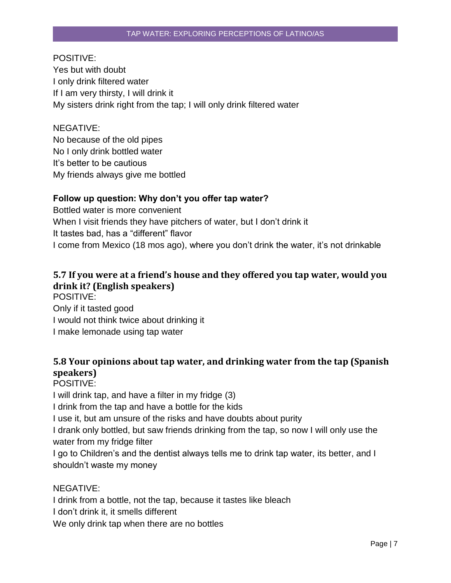## POSITIVE:

Yes but with doubt I only drink filtered water If I am very thirsty, I will drink it My sisters drink right from the tap; I will only drink filtered water

## NEGATIVE:

No because of the old pipes No I only drink bottled water It's better to be cautious My friends always give me bottled

## **Follow up question: Why don't you offer tap water?**

Bottled water is more convenient When I visit friends they have pitchers of water, but I don't drink it It tastes bad, has a "different" flavor I come from Mexico (18 mos ago), where you don't drink the water, it's not drinkable

# <span id="page-7-0"></span>**5.7 If you were at a friend's house and they offered you tap water, would you drink it? (English speakers)**

POSITIVE: Only if it tasted good I would not think twice about drinking it I make lemonade using tap water

# <span id="page-7-1"></span>**5.8 Your opinions about tap water, and drinking water from the tap (Spanish speakers)**

POSITIVE: I will drink tap, and have a filter in my fridge (3) I drink from the tap and have a bottle for the kids I use it, but am unsure of the risks and have doubts about purity I drank only bottled, but saw friends drinking from the tap, so now I will only use the water from my fridge filter I go to Children's and the dentist always tells me to drink tap water, its better, and I shouldn't waste my money

## NEGATIVE:

I drink from a bottle, not the tap, because it tastes like bleach I don't drink it, it smells different We only drink tap when there are no bottles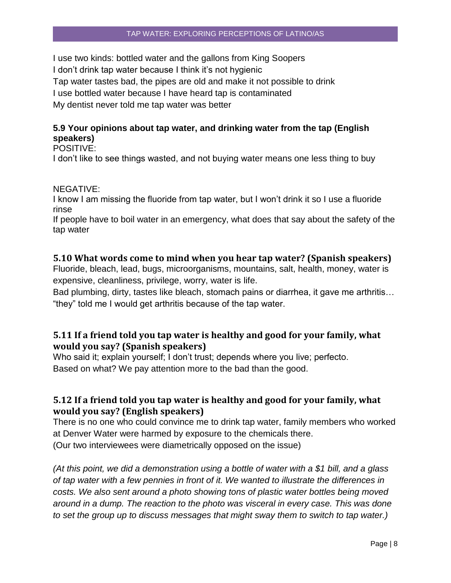I use two kinds: bottled water and the gallons from King Soopers I don't drink tap water because I think it's not hygienic Tap water tastes bad, the pipes are old and make it not possible to drink I use bottled water because I have heard tap is contaminated My dentist never told me tap water was better

## **5.9 Your opinions about tap water, and drinking water from the tap (English speakers)**

POSITIVE:

I don't like to see things wasted, and not buying water means one less thing to buy

#### NEGATIVE:

I know I am missing the fluoride from tap water, but I won't drink it so I use a fluoride rinse

If people have to boil water in an emergency, what does that say about the safety of the tap water

## <span id="page-8-0"></span>**5.10 What words come to mind when you hear tap water? (Spanish speakers)**

Fluoride, bleach, lead, bugs, microorganisms, mountains, salt, health, money, water is expensive, cleanliness, privilege, worry, water is life.

Bad plumbing, dirty, tastes like bleach, stomach pains or diarrhea, it gave me arthritis… "they" told me I would get arthritis because of the tap water.

## <span id="page-8-1"></span>**5.11 If a friend told you tap water is healthy and good for your family, what would you say? (Spanish speakers)**

Who said it; explain yourself; I don't trust; depends where you live; perfecto. Based on what? We pay attention more to the bad than the good.

## <span id="page-8-2"></span>**5.12 If a friend told you tap water is healthy and good for your family, what would you say? (English speakers)**

There is no one who could convince me to drink tap water, family members who worked at Denver Water were harmed by exposure to the chemicals there. (Our two interviewees were diametrically opposed on the issue)

*(At this point, we did a demonstration using a bottle of water with a \$1 bill, and a glass of tap water with a few pennies in front of it. We wanted to illustrate the differences in costs. We also sent around a photo showing tons of plastic water bottles being moved around in a dump. The reaction to the photo was visceral in every case. This was done to set the group up to discuss messages that might sway them to switch to tap water.)*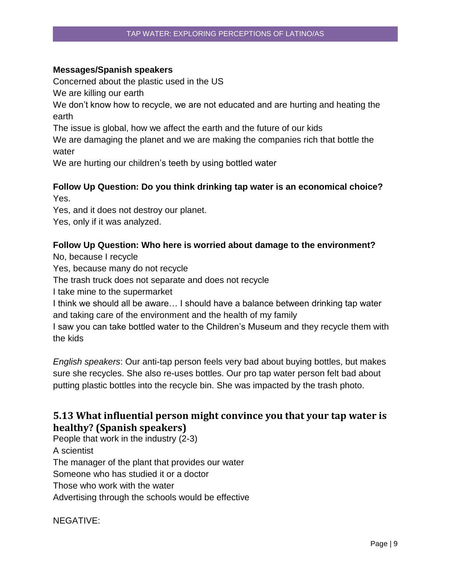## **Messages/Spanish speakers**

Concerned about the plastic used in the US

We are killing our earth

We don't know how to recycle, we are not educated and are hurting and heating the earth

The issue is global, how we affect the earth and the future of our kids

We are damaging the planet and we are making the companies rich that bottle the water

We are hurting our children's teeth by using bottled water

## **Follow Up Question: Do you think drinking tap water is an economical choice?** Yes.

Yes, and it does not destroy our planet.

Yes, only if it was analyzed.

## **Follow Up Question: Who here is worried about damage to the environment?**

No, because I recycle

Yes, because many do not recycle

The trash truck does not separate and does not recycle

I take mine to the supermarket

I think we should all be aware… I should have a balance between drinking tap water and taking care of the environment and the health of my family

I saw you can take bottled water to the Children's Museum and they recycle them with the kids

*English speakers*: Our anti-tap person feels very bad about buying bottles, but makes sure she recycles. She also re-uses bottles. Our pro tap water person felt bad about putting plastic bottles into the recycle bin. She was impacted by the trash photo.

# <span id="page-9-0"></span>**5.13 What influential person might convince you that your tap water is healthy? (Spanish speakers)**

People that work in the industry (2-3) A scientist The manager of the plant that provides our water Someone who has studied it or a doctor Those who work with the water Advertising through the schools would be effective

NEGATIVE: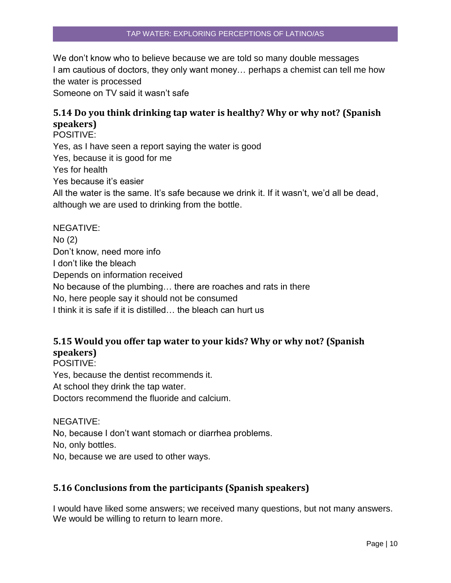We don't know who to believe because we are told so many double messages I am cautious of doctors, they only want money… perhaps a chemist can tell me how the water is processed

Someone on TV said it wasn't safe

# <span id="page-10-0"></span>**5.14 Do you think drinking tap water is healthy? Why or why not? (Spanish speakers)**

POSITIVE: Yes, as I have seen a report saying the water is good Yes, because it is good for me Yes for health Yes because it's easier All the water is the same. It's safe because we drink it. If it wasn't, we'd all be dead, although we are used to drinking from the bottle.

NEGATIVE: No (2) Don't know, need more info I don't like the bleach Depends on information received No because of the plumbing… there are roaches and rats in there No, here people say it should not be consumed I think it is safe if it is distilled… the bleach can hurt us

# <span id="page-10-1"></span>**5.15 Would you offer tap water to your kids? Why or why not? (Spanish speakers)**

POSITIVE: Yes, because the dentist recommends it. At school they drink the tap water. Doctors recommend the fluoride and calcium.

NEGATIVE:

No, because I don't want stomach or diarrhea problems.

No, only bottles.

No, because we are used to other ways.

## <span id="page-10-2"></span>**5.16 Conclusions from the participants (Spanish speakers)**

I would have liked some answers; we received many questions, but not many answers. We would be willing to return to learn more.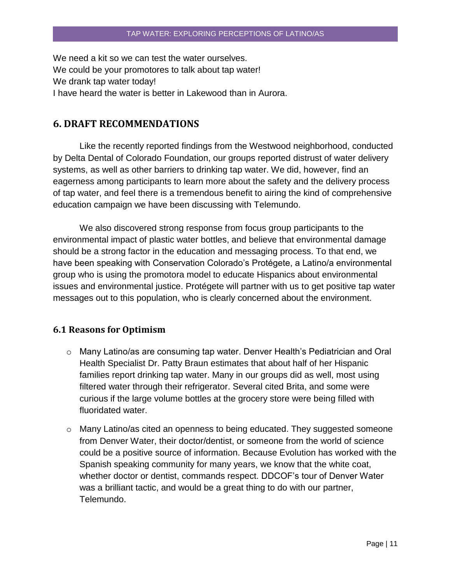We need a kit so we can test the water ourselves. We could be your promotores to talk about tap water! We drank tap water today! I have heard the water is better in Lakewood than in Aurora.

## <span id="page-11-0"></span>**6. DRAFT RECOMMENDATIONS**

Like the recently reported findings from the Westwood neighborhood, conducted by Delta Dental of Colorado Foundation, our groups reported distrust of water delivery systems, as well as other barriers to drinking tap water. We did, however, find an eagerness among participants to learn more about the safety and the delivery process of tap water, and feel there is a tremendous benefit to airing the kind of comprehensive education campaign we have been discussing with Telemundo.

We also discovered strong response from focus group participants to the environmental impact of plastic water bottles, and believe that environmental damage should be a strong factor in the education and messaging process. To that end, we have been speaking with Conservation Colorado's Protégete, a Latino/a environmental group who is using the promotora model to educate Hispanics about environmental issues and environmental justice. Protégete will partner with us to get positive tap water messages out to this population, who is clearly concerned about the environment.

#### <span id="page-11-1"></span>**6.1 Reasons for Optimism**

- o Many Latino/as are consuming tap water. Denver Health's Pediatrician and Oral Health Specialist Dr. Patty Braun estimates that about half of her Hispanic families report drinking tap water. Many in our groups did as well, most using filtered water through their refrigerator. Several cited Brita, and some were curious if the large volume bottles at the grocery store were being filled with fluoridated water.
- $\circ$  Many Latino/as cited an openness to being educated. They suggested someone from Denver Water, their doctor/dentist, or someone from the world of science could be a positive source of information. Because Evolution has worked with the Spanish speaking community for many years, we know that the white coat, whether doctor or dentist, commands respect. DDCOF's tour of Denver Water was a brilliant tactic, and would be a great thing to do with our partner, Telemundo.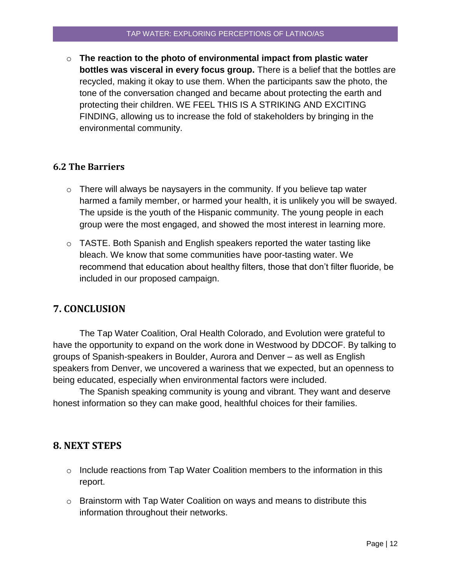o **The reaction to the photo of environmental impact from plastic water bottles was visceral in every focus group.** There is a belief that the bottles are recycled, making it okay to use them. When the participants saw the photo, the tone of the conversation changed and became about protecting the earth and protecting their children. WE FEEL THIS IS A STRIKING AND EXCITING FINDING, allowing us to increase the fold of stakeholders by bringing in the environmental community.

## <span id="page-12-0"></span>**6.2 The Barriers**

- $\circ$  There will always be naysayers in the community. If you believe tap water harmed a family member, or harmed your health, it is unlikely you will be swayed. The upside is the youth of the Hispanic community. The young people in each group were the most engaged, and showed the most interest in learning more.
- $\circ$  TASTE. Both Spanish and English speakers reported the water tasting like bleach. We know that some communities have poor-tasting water. We recommend that education about healthy filters, those that don't filter fluoride, be included in our proposed campaign.

# <span id="page-12-1"></span>**7. CONCLUSION**

The Tap Water Coalition, Oral Health Colorado, and Evolution were grateful to have the opportunity to expand on the work done in Westwood by DDCOF. By talking to groups of Spanish-speakers in Boulder, Aurora and Denver – as well as English speakers from Denver, we uncovered a wariness that we expected, but an openness to being educated, especially when environmental factors were included.

The Spanish speaking community is young and vibrant. They want and deserve honest information so they can make good, healthful choices for their families.

## **8. NEXT STEPS**

- $\circ$  Include reactions from Tap Water Coalition members to the information in this report.
- o Brainstorm with Tap Water Coalition on ways and means to distribute this information throughout their networks.